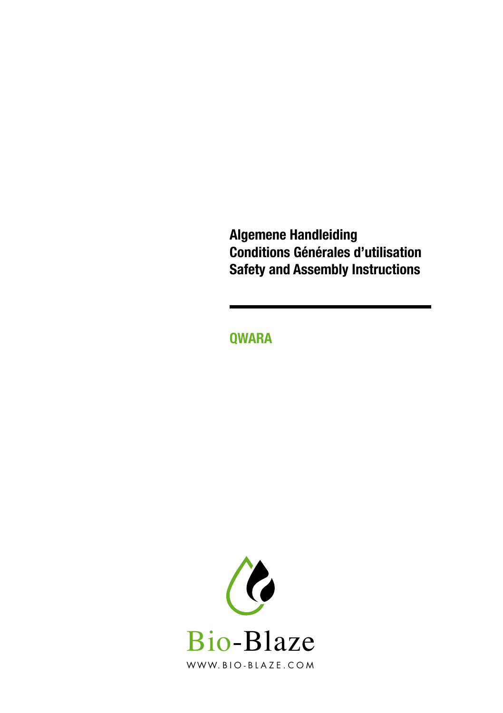**Algemene Handleiding Conditions Générales d'utilisation Safety and Assembly Instructions** 

**Qwara**

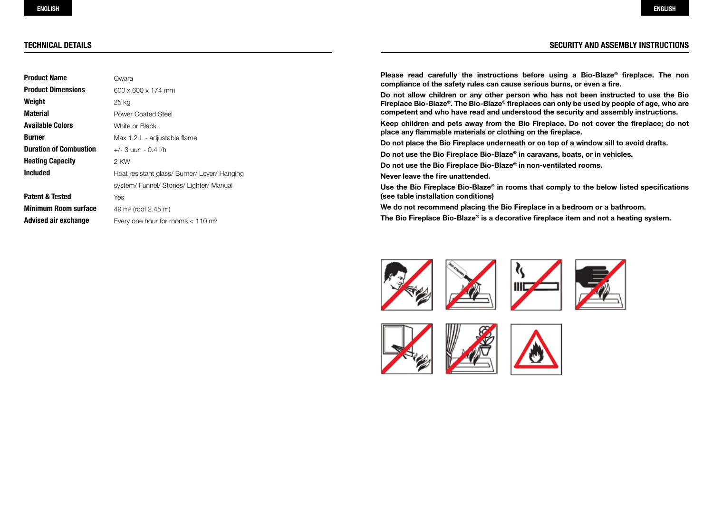## **Technical details**

# **SECURITY AND ASSEMBLY INSTRUCTIONS**

| Product Name                  | Owara                                           |
|-------------------------------|-------------------------------------------------|
| <b>Product Dimensions</b>     | 600 x 600 x 174 mm                              |
| Weight                        | 25 kg                                           |
| Material                      | <b>Power Coated Steel</b>                       |
| Available Colors              | White or Black                                  |
| Burner                        | Max 1.2 L - adjustable flame                    |
| <b>Duration of Combustion</b> | $+/-$ 3 uur - 0.4 l/h                           |
| Heating Capacity              | 2 KW                                            |
| Included                      | Heat resistant glass/ Burner/ Lever/ Hanging    |
|                               | system/Funnel/Stones/Lighter/Manual             |
| Patent & Tested               | Yes                                             |
| Minimum Room surface          | 49 m <sup>3</sup> (roof 2.45 m)                 |
| Advised air exchange          | Every one hour for rooms $< 110$ m <sup>3</sup> |

**Please read carefully the instructions before using a Bio-Blaze® fireplace. The non compliance of the safety rules can cause serious burns, or even a fire.**

**Do not allow children or any other person who has not been instructed to use the Bio Fireplace Bio-Blaze®. The Bio-Blaze® fireplaces can only be used by people of age, who are competent and who have read and understood the security and assembly instructions.**

**Keep children and pets away from the Bio Fireplace. Do not cover the fireplace; do not place any flammable materials or clothing on the fireplace.**

**Do not place the Bio Fireplace underneath or on top of a window sill to avoid drafts.**

**Do not use the Bio Fireplace Bio-Blaze® in caravans, boats, or in vehicles.**

**Do not use the Bio Fireplace Bio-Blaze® in non-ventilated rooms.**

**Never leave the fire unattended.**

**Use the Bio Fireplace Bio-Blaze® in rooms that comply to the below listed specifications (see table installation conditions)**

**We do not recommend placing the Bio Fireplace in a bedroom or a bathroom.** 

**The Bio Fireplace Bio-Blaze® is a decorative fireplace item and not a heating system.**





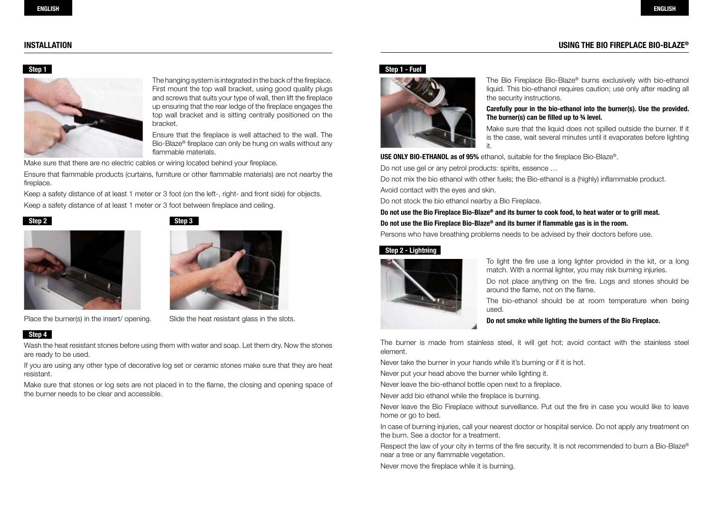# **USING THE BIO FIREPLACE BIO-BLAZE® INSTALLATION**

#### **Step 1**



The hanging system is integrated in the back of the fireplace. First mount the top wall bracket, using good quality plugs and screws that suits your type of wall, then lift the fireplace up ensuring that the rear ledge of the fireplace engages the top wall bracket and is sitting centrally positioned on the bracket.

Ensure that the fireplace is well attached to the wall. The Bio-Blaze® fireplace can only be hung on walls without any flammable materials.

Make sure that there are no electric cables or wiring located behind your fireplace.

Ensure that flammable products (curtains, furniture or other flammable materials) are not nearby the fireplace.

Keep a safety distance of at least 1 meter or 3 foot (on the left-, right- and front side) for objects. Keep a safety distance of at least 1 meter or 3 foot between fireplace and ceiling.





## **Step 4**

Place the burner(s) in the insert/opening. Slide the heat resistant glass in the slots.

Wash the heat resistant stones before using them with water and soap. Let them dry. Now the stones are ready to be used.

If you are using any other type of decorative log set or ceramic stones make sure that they are heat resistant.

Make sure that stones or log sets are not placed in to the flame, the closing and opening space of the burner needs to be clear and accessible.

## **Step 1 - Fuel**



The Bio Fireplace Bio-Blaze® burns exclusively with bio-ethanol liquid. This bio-ethanol requires caution; use only after reading all the security instructions.

#### **Carefully pour in the bio-ethanol into the burner(s). Use the provided. The burner(s) can be filled up to ¾ level.**

Make sure that the liquid does not spilled outside the burner. If it is the case, wait several minutes until it evaporates before lighting it.

**USE ONLY BIO-ETHANOL as of 95%** ethanol, suitable for the fireplace Bio-Blaze®.

Do not use gel or any petrol products: spirits, essence …

Do not mix the bio ethanol with other fuels; the Bio-ethanol is a (highly) inflammable product.

Avoid contact with the eyes and skin.

Do not stock the bio ethanol nearby a Bio Fireplace.

**Do not use the Bio Fireplace Bio-Blaze® and its burner to cook food, to heat water or to grill meat.**

## **Do not use the Bio Fireplace Bio-Blaze® and its burner if flammable gas is in the room.**

Persons who have breathing problems needs to be advised by their doctors before use.

# **Step 2 - Lightning**



To light the fire use a long lighter provided in the kit, or a long match. With a normal lighter, you may risk burning injuries.

Do not place anything on the fire. Logs and stones should be around the flame, not on the flame.

The bio-ethanol should be at room temperature when being used.

#### **Do not smoke while lighting the burners of the Bio Fireplace.**

The burner is made from stainless steel, it will get hot; avoid contact with the stainless steel element.

Never take the burner in your hands while it's burning or if it is hot.

Never put your head above the burner while lighting it.

Never leave the bio-ethanol bottle open next to a fireplace.

Never add bio ethanol while the fireplace is burning.

Never leave the Bio Fireplace without surveillance. Put out the fire in case you would like to leave home or go to bed.

In case of burning injuries, call your nearest doctor or hospital service. Do not apply any treatment on the burn. See a doctor for a treatment.

Respect the law of your city in terms of the fire security. It is not recommended to burn a Bio-Blaze® near a tree or any flammable vegetation.

Never move the fireplace while it is burning.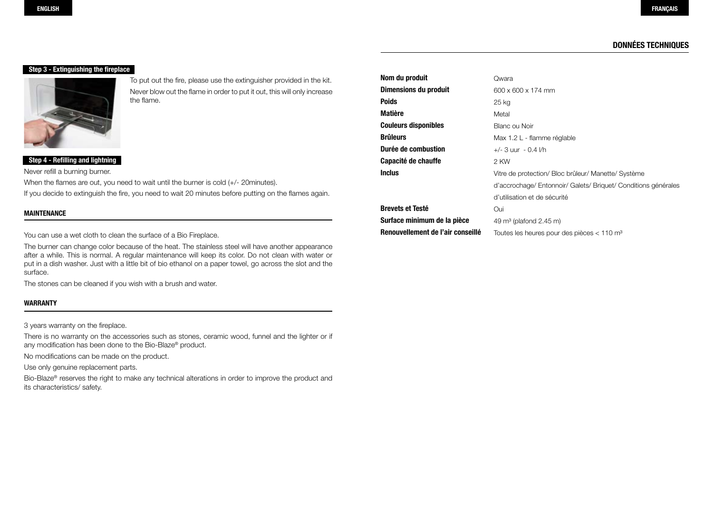# **Données Techniques**

## **Step 3 - Extinguishing the fireplace**



To put out the fire, please use the extinguisher provided in the kit. Never blow out the flame in order to put it out, this will only increase the flame.

# **Step 4 - Refilling and lightning**

Never refill a burning burner.

When the flames are out, you need to wait until the burner is cold (+/- 20minutes). If you decide to extinguish the fire, you need to wait 20 minutes before putting on the flames again.

#### **MAINTENANCE**

You can use a wet cloth to clean the surface of a Bio Fireplace.

The burner can change color because of the heat. The stainless steel will have another appearance after a while. This is normal. A regular maintenance will keep its color. Do not clean with water or put in a dish washer. Just with a little bit of bio ethanol on a paper towel, go across the slot and the surface.

The stones can be cleaned if you wish with a brush and water.

## **WARRANTY**

3 years warranty on the fireplace.

There is no warranty on the accessories such as stones, ceramic wood, funnel and the lighter or if any modification has been done to the Bio-Blaze® product.

No modifications can be made on the product.

Use only genuine replacement parts.

Bio-Blaze® reserves the right to make any technical alterations in order to improve the product and its characteristics/ safety.

| Nom du produit                    | Qwara                                                      |
|-----------------------------------|------------------------------------------------------------|
| Dimensions du produit             | 600 x 600 x 174 mm                                         |
| <b>Poids</b>                      | 25 kg                                                      |
| <b>Matière</b>                    | Metal                                                      |
| <b>Couleurs disponibles</b>       | Blanc ou Noir                                              |
| <b>Brûleurs</b>                   | Max 1.2 L - flamme réglable                                |
| Durée de combustion               | $+/-$ 3 uur - 0.4 l/h                                      |
| Capacité de chauffe               | 2 KW                                                       |
| <b>Inclus</b>                     | Vitre de protection/ Bloc brûleur/ Manette/ Système        |
|                                   | d'accrochage/Entonnoir/Galets/Briquet/Conditions générales |
|                                   | d'utilisation et de sécurité                               |
| <b>Brevets et Testé</b>           | Oui                                                        |
| Surface minimum de la pièce       | $49 \text{ m}^3$ (plafond 2.45 m)                          |
| Renouvellement de l'air conseillé | Toutes les heures pour des pièces $< 110$ m <sup>3</sup>   |
|                                   |                                                            |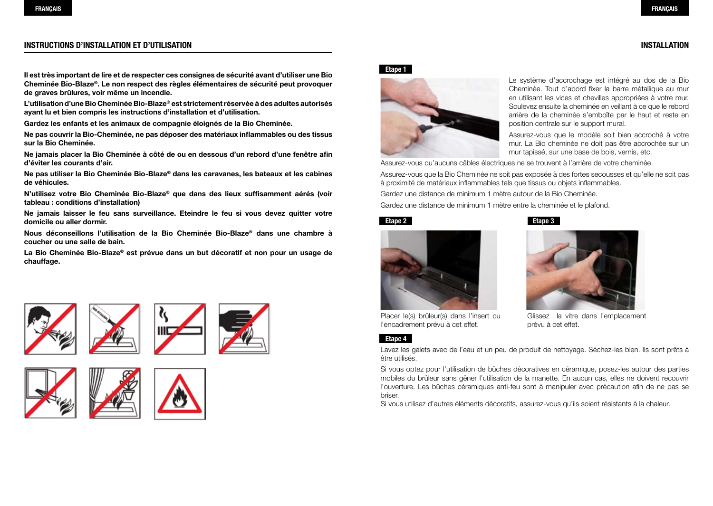**Cheminée Bio-Blaze®. Le non respect des règles élémentaires de sécurité peut provoquer de graves brûlures, voir même un incendie.**

**L'utilisation d'une Bio Cheminée Bio-Blaze® est strictement réservée à des adultes autorisés ayant lu et bien compris les instructions d'installation et d'utilisation.** 

**Gardez les enfants et les animaux de compagnie éloignés de la Bio Cheminée.** 

**Ne pas couvrir la Bio-Cheminée, ne pas déposer des matériaux inflammables ou des tissus sur la Bio Cheminée.** 

**Ne jamais placer la Bio Cheminée à côté de ou en dessous d'un rebord d'une fenêtre afin d'éviter les courants d'air.**

**Ne pas utiliser la Bio Cheminée Bio-Blaze® dans les caravanes, les bateaux et les cabines de véhicules.**

**N'utilisez votre Bio Cheminée Bio-Blaze® que dans des lieux suffisamment aérés (voir tableau : conditions d'installation)**

**Ne jamais laisser le feu sans surveillance. Eteindre le feu si vous devez quitter votre domicile ou aller dormir.**

**Nous déconseillons l'utilisation de la Bio Cheminée Bio-Blaze® dans une chambre à coucher ou une salle de bain.**

**La Bio Cheminée Bio-Blaze® est prévue dans un but décoratif et non pour un usage de chauffage.** 



















Le système d'accrochage est intégré au dos de la Bio Cheminée. Tout d'abord fixer la barre métallique au mur en utilisant les vices et chevilles appropriées à votre mur. Soulevez ensuite la cheminée en veillant à ce que le rebord arrière de la cheminée s'emboîte par le haut et reste en position centrale sur le support mural.

Assurez-vous que le modèle soit bien accroché à votre mur. La Bio cheminée ne doit pas être accrochée sur un mur tapissé, sur une base de bois, vernis, etc.

Assurez-vous qu'aucuns câbles électriques ne se trouvent à l'arrière de votre cheminée.

Assurez-vous que la Bio Cheminée ne soit pas exposée à des fortes secousses et qu'elle ne soit pas à proximité de matériaux inflammables tels que tissus ou objets inflammables.

Gardez une distance de minimum 1 mètre autour de la Bio Cheminée.

Gardez une distance de minimum 1 mètre entre la cheminée et le plafond.

## **Etape 2** Etape 3







Placer le(s) brûleur(s) dans l'insert ou l'encadrement prévu à cet effet.

## **Etape 4**

Lavez les galets avec de l'eau et un peu de produit de nettoyage. Séchez-les bien. Ils sont prêts à être utilisés.

prévu à cet effet.

Si vous optez pour l'utilisation de bûches décoratives en céramique, posez-les autour des parties mobiles du brûleur sans gêner l'utilisation de la manette. En aucun cas, elles ne doivent recouvrir l'ouverture. Les bûches céramiques anti-feu sont à manipuler avec précaution afin de ne pas se briser.

Si vous utilisez d'autres éléments décoratifs, assurez-vous qu'ils soient résistants à la chaleur.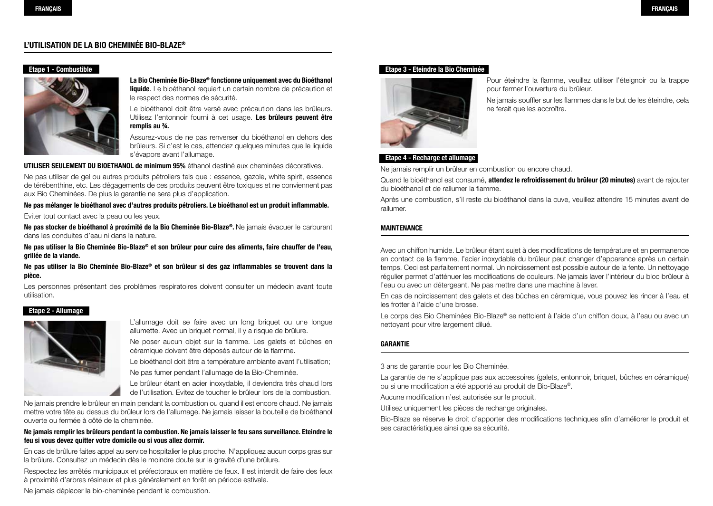# **L'UTILISATION DE LA BIO CHEMINÉE BIO-BLAZE®**

# **Etape 1 - Combustible**



**La Bio Cheminée Bio-Blaze® fonctionne uniquement avec du Bioéthanol liquide**. Le bioéthanol requiert un certain nombre de précaution et le respect des normes de sécurité.

Le bioéthanol doit être versé avec précaution dans les brûleurs. Utilisez l'entonnoir fourni à cet usage. **Les brûleurs peuvent être remplis au ¾.**

Assurez-vous de ne pas renverser du bioéthanol en dehors des brûleurs. Si c'est le cas, attendez quelques minutes que le liquide s'évapore avant l'allumage.

**UTILISER SEULEMENT DU BIOETHANOL de minimum 95%** éthanol destiné aux cheminées décoratives.

Ne pas utiliser de gel ou autres produits pétroliers tels que : essence, gazole, white spirit, essence de térébenthine, etc. Les dégagements de ces produits peuvent être toxiques et ne conviennent pas aux Bio Cheminées. De plus la garantie ne sera plus d'application.

**Ne pas mélanger le bioéthanol avec d'autres produits pétroliers. Le bioéthanol est un produit inflammable.**

Eviter tout contact avec la peau ou les yeux.

**Ne pas stocker de bioéthanol à proximité de la Bio Cheminée Bio-Blaze®.** Ne jamais évacuer le carburant dans les conduites d'eau ni dans la nature.

**Ne pas utiliser la Bio Cheminée Bio-Blaze® et son brûleur pour cuire des aliments, faire chauffer de l'eau, grillée de la viande.**

**Ne pas utiliser la Bio Cheminée Bio-Blaze® et son brûleur si des gaz inflammables se trouvent dans la pièce.**

Les personnes présentant des problèmes respiratoires doivent consulter un médecin avant toute utilisation.

#### **Etape 2 - Allumage**



L'allumage doit se faire avec un long briquet ou une longue allumette. Avec un briquet normal, il y a risque de brûlure.

Ne poser aucun objet sur la flamme. Les galets et bûches en céramique doivent être déposés autour de la flamme.

Le bioéthanol doit être a température ambiante avant l'utilisation; Ne pas fumer pendant l'allumage de la Bio-Cheminée.

Le brûleur étant en acier inoxydable, il deviendra très chaud lors de l'utilisation. Evitez de toucher le brûleur lors de la combustion.

Ne jamais prendre le brûleur en main pendant la combustion ou quand il est encore chaud. Ne jamais mettre votre tête au dessus du brûleur lors de l'allumage. Ne jamais laisser la bouteille de bioéthanol ouverte ou fermée à côté de la cheminée.

## **Ne jamais remplir les brûleurs pendant la combustion. Ne jamais laisser le feu sans surveillance. Eteindre le feu si vous devez quitter votre domicile ou si vous allez dormir.**

En cas de brûlure faites appel au service hospitalier le plus proche. N'appliquez aucun corps gras sur la brûlure. Consultez un médecin dès le moindre doute sur la gravité d'une brûlure.

Respectez les arrêtés municipaux et préfectoraux en matière de feux. Il est interdit de faire des feux à proximité d'arbres résineux et plus généralement en forêt en période estivale.

Ne jamais déplacer la bio-cheminée pendant la combustion.

#### **Etape 3 - Eteindre la Bio Cheminée**



Pour éteindre la flamme, veuillez utiliser l'éteignoir ou la trappe pour fermer l'ouverture du brûleur.

Ne jamais souffler sur les flammes dans le but de les éteindre, cela ne ferait que les accroître.

## **Etape 4 - Recharge et allumage**

Ne jamais remplir un brûleur en combustion ou encore chaud.

Quand le bioéthanol est consumé, **attendez le refroidissement du brûleur (20 minutes)** avant de rajouter du bioéthanol et de rallumer la flamme.

Après une combustion, s'il reste du bioéthanol dans la cuve, veuillez attendre 15 minutes avant de rallumer.

#### **MAINTENANCE**

Avec un chiffon humide. Le brûleur étant sujet à des modifications de température et en permanence en contact de la flamme, l'acier inoxydable du brûleur peut changer d'apparence après un certain temps. Ceci est parfaitement normal. Un noircissement est possible autour de la fente. Un nettoyage régulier permet d'atténuer les modifications de couleurs. Ne jamais laver l'intérieur du bloc brûleur à l'eau ou avec un détergeant. Ne pas mettre dans une machine à laver.

En cas de noircissement des galets et des bûches en céramique, vous pouvez les rincer à l'eau et les frotter à l'aide d'une brosse.

Le corps des Bio Cheminées Bio-Blaze® se nettoient à l'aide d'un chiffon doux, à l'eau ou avec un nettoyant pour vitre largement dilué.

## **garantie**

3 ans de garantie pour les Bio Cheminée.

La garantie de ne s'applique pas aux accessoires (galets, entonnoir, briquet, bûches en céramique) ou si une modification a été apporté au produit de Bio-Blaze®.

Aucune modification n'est autorisée sur le produit.

Utilisez uniquement les pièces de rechange originales.

Bio-Blaze se réserve le droit d'apporter des modifications techniques afin d'améliorer le produit et ses caractéristiques ainsi que sa sécurité.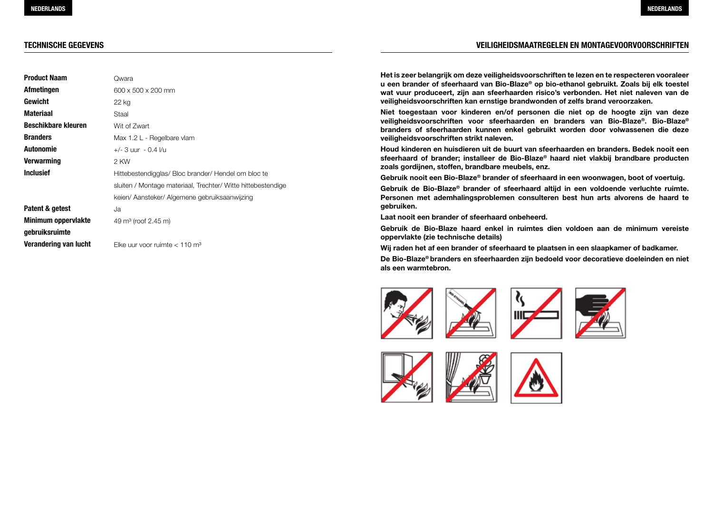# **Technische Gegevens**

| <b>Product Naam</b>        | Qwara                                                        |
|----------------------------|--------------------------------------------------------------|
| Afmetingen                 | 600 x 500 x 200 mm                                           |
| Gewicht                    | 22 kg                                                        |
| <b>Materiaal</b>           | Staal                                                        |
| <b>Beschikbare kleuren</b> | Wit of Zwart                                                 |
| <b>Branders</b>            | Max 1.2 L - Regelbare vlam                                   |
| Autonomie                  | $+/-$ 3 uur - 0.4 l/u                                        |
| Verwarming                 | 2 KW                                                         |
| <b>Inclusief</b>           | Hittebestendigglas/Bloc brander/Hendel om bloc te            |
|                            | sluiten / Montage materiaal, Trechter/ Witte hittebestendige |
|                            | keien/ Aansteker/ Algemene gebruiksaanwijzing                |
| Patent & getest            | Ja                                                           |
| Minimum oppervlakte        | 49 $\text{m}^3$ (roof 2.45 m)                                |
| gebruiksruimte             |                                                              |
| Verandering van lucht      | Elke uur voor ruimte $< 110$ m <sup>3</sup>                  |

# **VEILIGHEIDSMAATREGELEN EN MONTAGEVOORVOORSCHRIFTEN**

**Het is zeer belangrijk om deze veiligheidsvoorschriften te lezen en te respecteren vooraleer u een brander of sfeerhaard van Bio-Blaze® op bio-ethanol gebruikt. Zoals bij elk toestel wat vuur produceert, zijn aan sfeerhaarden risico's verbonden. Het niet naleven van de veiligheidsvoorschriften kan ernstige brandwonden of zelfs brand veroorzaken.**

**Niet toegestaan voor kinderen en/of personen die niet op de hoogte zijn van deze veiligheidsvoorschriften voor sfeerhaarden en branders van Bio-Blaze®. Bio-Blaze® branders of sfeerhaarden kunnen enkel gebruikt worden door volwassenen die deze veiligheidsvoorschriften strikt naleven.**

**Houd kinderen en huisdieren uit de buurt van sfeerhaarden en branders. Bedek nooit een sfeerhaard of brander; installeer de Bio-Blaze® haard niet vlakbij brandbare producten zoals gordijnen, stoffen, brandbare meubels, enz.**

**Gebruik nooit een Bio-Blaze® brander of sfeerhaard in een woonwagen, boot of voertuig.**

**Gebruik de Bio-Blaze® brander of sfeerhaard altijd in een voldoende verluchte ruimte. Personen met ademhalingsproblemen consulteren best hun arts alvorens de haard te gebruiken.**

**Laat nooit een brander of sfeerhaard onbeheerd.**

**Gebruik de Bio-Blaze haard enkel in ruimtes dien voldoen aan de minimum vereiste oppervlakte (zie technische details)**

**Wij raden het af een brander of sfeerhaard te plaatsen in een slaapkamer of badkamer.**

**De Bio-Blaze® branders en sfeerhaarden zijn bedoeld voor decoratieve doeleinden en niet als een warmtebron.**















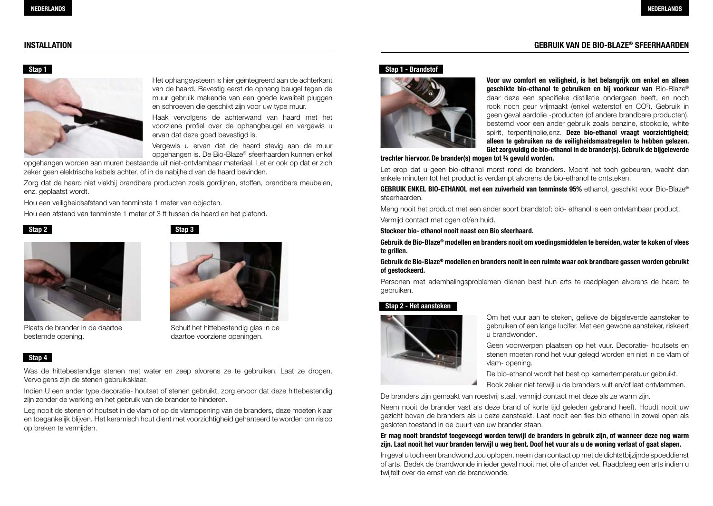# **Gebruik van de Bio-Blaze® INSTALLATION sfeerhaarden**

#### **Stap 1**



Het ophangsysteem is hier geïntegreerd aan de achterkant van de haard. Bevestig eerst de ophang beugel tegen de muur gebruik makende van een goede kwaliteit pluggen en schroeven die geschikt zijn voor uw type muur.

Haak vervolgens de achterwand van haard met het voorziene profiel over de ophangbeugel en vergewis u ervan dat deze goed bevestigd is.

Vergewis u ervan dat de haard stevig aan de muur opgehangen is. De Bio-Blaze® sfeerhaarden kunnen enkel

opgehangen worden aan muren bestaande uit niet-ontvlambaar materiaal. Let er ook op dat er zich zeker geen elektrische kabels achter, of in de nabijheid van de haard bevinden.

Zorg dat de haard niet vlakbij brandbare producten zoals gordijnen, stoffen, brandbare meubelen, enz. geplaatst wordt.

Hou een veiligheidsafstand van tenminste 1 meter van objecten.

Hou een afstand van tenminste 1 meter of 3 ft tussen de haard en het plafond.





Plaats de brander in de daartoe bestemde opening.



Schuif het hittebestendig glas in de daartoe voorziene openingen.

## **Stap 4**

Was de hittebestendige stenen met water en zeep alvorens ze te gebruiken. Laat ze drogen. Vervolgens zijn de stenen gebruiksklaar.

Indien U een ander type decoratie- houtset of stenen gebruikt, zorg ervoor dat deze hittebestendig zijn zonder de werking en het gebruik van de brander te hinderen.

Leg nooit de stenen of houtset in de vlam of op de vlamopening van de branders, deze moeten klaar en toegankelijk blijven. Het keramisch hout dient met voorzichtigheid gehanteerd te worden om risico op breken te vermijden.

#### **Stap 1 - Brandstof**



**Voor uw comfort en veiligheid, is het belangrijk om enkel en alleen geschikte bio-ethanol te gebruiken en bij voorkeur van** Bio-Blaze® daar deze een specifieke distillatie ondergaan heeft, en noch rook noch geur vrijmaakt (enkel waterstof en CO<sup>2</sup>). Gebruik in geen geval aardolie -producten (of andere brandbare producten), bestemd voor een ander gebruik zoals benzine, stookolie, white spirit, terpentijnolie,enz. **Deze bio-ethanol vraagt voorzichtigheid; alleen te gebruiken na de veiligheidsmaatregelen te hebben gelezen. Giet zorgvuldig de bio-ethanol in de brander(s). Gebruik de bijgeleverde** 

#### **trechter hiervoor. De brander(s) mogen tot ¾ gevuld worden.**

Let erop dat u geen bio-ethanol morst rond de branders. Mocht het toch gebeuren, wacht dan enkele minuten tot het product is verdampt alvorens de bio-ethanol te ontsteken.

**GEBRUIK ENKEL BIO-ETHANOL met een zuiverheid van tenminste 95%** ethanol, geschikt voor Bio-Blaze® sfeerhaarden.

Meng nooit het product met een ander soort brandstof; bio- ethanol is een ontvlambaar product. Vermijd contact met ogen of/en huid.

#### **Stockeer bio- ethanol nooit naast een Bio sfeerhaard.**

**Gebruik de Bio-Blaze® modellen en branders nooit om voedingsmiddelen te bereiden, water te koken of vlees te grillen.**

**Gebruik de Bio-Blaze® modellen en branders nooit in een ruimte waar ook brandbare gassen worden gebruikt of gestockeerd.**

Personen met ademhalingsproblemen dienen best hun arts te raadplegen alvorens de haard te gebruiken.

#### **Stap 2 - Het aansteken**



Om het vuur aan te steken, gelieve de bijgeleverde aansteker te gebruiken of een lange lucifer. Met een gewone aansteker, riskeert u brandwonden.

Geen voorwerpen plaatsen op het vuur. Decoratie- houtsets en stenen moeten rond het vuur gelegd worden en niet in de vlam of vlam- opening.

De bio-ethanol wordt het best op kamertemperatuur gebruikt.

Rook zeker niet terwijl u de branders vult en/of laat ontvlammen.

De branders zijn gemaakt van roestvrij staal, vermijd contact met deze als ze warm zijn.

Neem nooit de brander vast als deze brand of korte tijd geleden gebrand heeft. Houdt nooit uw gezicht boven de branders als u deze aansteekt. Laat nooit een fles bio ethanol in zowel open als gesloten toestand in de buurt van uw brander staan.

## **Er mag nooit brandstof toegevoegd worden terwijl de branders in gebruik zijn, of wanneer deze nog warm zijn. Laat nooit het vuur branden terwijl u weg bent. Doof het vuur als u de woning verlaat of gaat slapen.**

In geval u toch een brandwond zou oplopen, neem dan contact op met de dichtstbijzijnde spoeddienst of arts. Bedek de brandwonde in ieder geval nooit met olie of ander vet. Raadpleeg een arts indien u twijfelt over de ernst van de brandwonde.